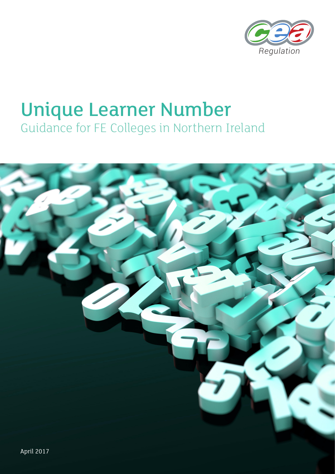

# Unique Learner Number Guidance for FE Colleges in Northern Ireland

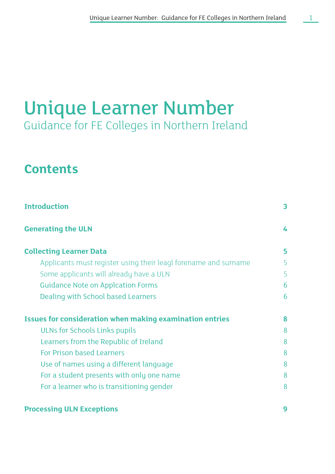# Unique Learner Number Guidance for FE Colleges in Northern Ireland

## **Contents**

| <b>Introduction</b>                                             | 3 |
|-----------------------------------------------------------------|---|
| <b>Generating the ULN</b>                                       | 4 |
| <b>Collecting Learner Data</b>                                  | 5 |
| Applicants must register using their leagl forename and surname | 5 |
| Some applicants will already have a ULN                         | 5 |
| <b>Guidance Note on Applcation Forms</b>                        | 6 |
| Dealing with School based Learners                              | 6 |
| <b>Issues for consideration when making examination entries</b> | 8 |
| <b>ULNs for Schools Links pupils</b>                            | 8 |
| Learners from the Republic of Ireland                           | 8 |
| For Prison based Learners                                       | 8 |
| Use of names using a different language                         | 8 |
| For a student presents with only one name                       | 8 |
| For a learner who is transitioning gender                       | 8 |
|                                                                 |   |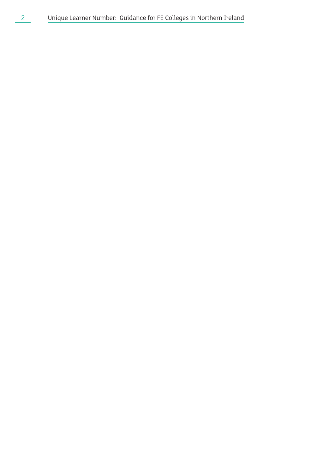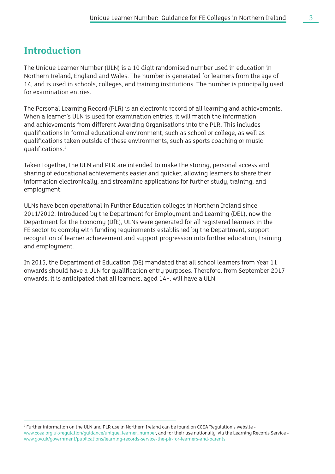## **Introduction**

The Unique Learner Number (ULN) is a 10 digit randomised number used in education in Northern Ireland, England and Wales. The number is generated for learners from the age of 14, and is used in schools, colleges, and training institutions. The number is principally used for examination entries.

The Personal Learning Record (PLR) is an electronic record of all learning and achievements. When a learner's ULN is used for examination entries, it will match the information and achievements from different Awarding Organisations into the PLR. This includes qualifications in formal educational environment, such as school or college, as well as qualifications taken outside of these environments, such as sports coaching or music qualifications.1

Taken together, the ULN and PLR are intended to make the storing, personal access and sharing of educational achievements easier and quicker, allowing learners to share their information electronically, and streamline applications for further study, training, and employment.

ULNs have been operational in Further Education colleges in Northern Ireland since 2011/2012. Introduced by the Department for Employment and Learning (DEL), now the Department for the Economy (DfE), ULNs were generated for all registered learners in the FE sector to comply with funding requirements established by the Department, support recognition of learner achievement and support progression into further education, training, and employment.

In 2015, the Department of Education (DE) mandated that all school learners from Year 11 onwards should have a ULN for qualification entry purposes. Therefore, from September 2017 onwards, it is anticipated that all learners, aged 14+, will have a ULN.

<sup>1</sup> Further information on the ULN and PLR use in Northern Ireland can be found on CCEA Regulation's website www.ccea.org.uk/regulation/guidance/unique\_learner\_number, and for their use nationally, via the Learning Records Service www.gov.uk/government/publications/learning-records-service-the-plr-for-learners-and-parents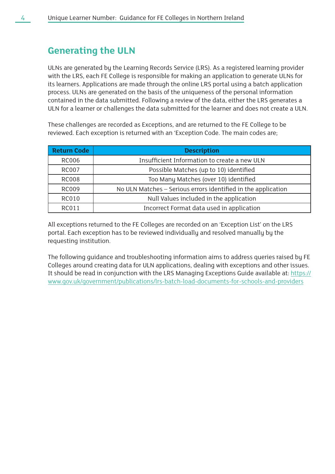### <span id="page-4-0"></span>**Generating the ULN**

ULNs are generated by the Learning Records Service (LRS). As a registered learning provider with the LRS, each FE College is responsible for making an application to generate ULNs for its learners. Applications are made through the online LRS portal using a batch application process. ULNs are generated on the basis of the uniqueness of the personal information contained in the data submitted. Following a review of the data, either the LRS generates a ULN for a learner or challenges the data submitted for the learner and does not create a ULN.

These challenges are recorded as Exceptions, and are returned to the FE College to be reviewed. Each exception is returned with an 'Exception Code. The main codes are;

| <b>Return Code</b> | <b>Description</b>                                            |  |  |  |  |
|--------------------|---------------------------------------------------------------|--|--|--|--|
| <b>RC006</b>       | Insufficient Information to create a new ULN                  |  |  |  |  |
| <b>RC007</b>       | Possible Matches (up to 10) identified                        |  |  |  |  |
| <b>RC008</b>       | Too Many Matches (over 10) identified                         |  |  |  |  |
| <b>RC009</b>       | No ULN Matches - Serious errors identified in the application |  |  |  |  |
| <b>RC010</b>       | Null Values included in the application                       |  |  |  |  |
| RC011              | Incorrect Format data used in application                     |  |  |  |  |

All exceptions returned to the FE Colleges are recorded on an 'Exception List' on the LRS portal. Each exception has to be reviewed individually and resolved manually by the requesting institution.

The following guidance and troubleshooting information aims to address queries raised by FE Colleges around creating data for ULN applications, dealing with exceptions and other issues. It should be read in conjunction with the LRS Managing Exceptions Guide available at: https:// www.gov.uk/government/publications/lrs-batch-load-documents-for-schools-and-providers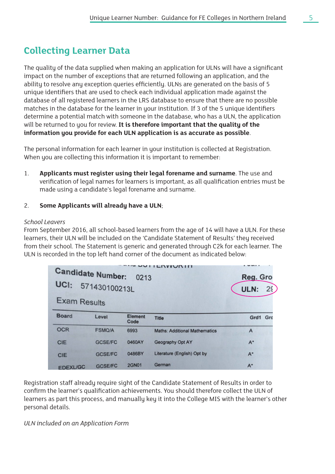## <span id="page-5-0"></span>**Collecting Learner Data**

The quality of the data supplied when making an application for ULNs will have a significant impact on the number of exceptions that are returned following an application, and the ability to resolve any exception queries efficiently. ULNs are generated on the basis of 5 unique identifiers that are used to check each individual application made against the database of all registered learners in the LRS database to ensure that there are no possible matches in the database for the learner in your institution. If 3 of the 5 unique identifiers determine a potential match with someone in the database, who has a ULN, the application will be returned to you for review. **It is therefore important that the quality of the information you provide for each ULN application is as accurate as possible**.

The personal information for each learner in your institution is collected at Registration. When you are collecting this information it is important to remember:

1. **Applicants must register using their legal forename and surname**. The use and verification of legal names for learners is important, as all qualification entries must be made using a candidate's legal forename and surname.

#### 2. **Some Applicants will already have a ULN**;

#### *School Leavers*

From September 2016, all school-based learners from the age of 14 will have a ULN. For these learners, their ULN will be included on the 'Candidate Statement of Results' they received from their school. The Statement is generic and generated through C2k for each learner. The ULN is recorded in the top left hand corner of the document as indicated below:

| <b>Candidate Number:</b><br>UCI:<br>571430100213L<br><b>Exam Results</b> | Reg. Gro<br>2 <sup>c</sup><br>ULN: |                 |                                      |             |
|--------------------------------------------------------------------------|------------------------------------|-----------------|--------------------------------------|-------------|
| <b>Board</b>                                                             | Level                              | Element<br>Code | <b>Title</b>                         | Grd1<br>Gro |
| <b>OCR</b>                                                               | <b>FSMQ/A</b>                      | 6993            | <b>Maths: Additional Mathematics</b> | A           |
| CIE                                                                      | <b>GCSE/FC</b>                     | 0460AY          | Geography Opt AY                     | $A^*$       |
| CIE                                                                      | <b>GCSE/FC</b>                     | 0486BY          | Literature (English) Opt by          | $A^*$       |
| <b>FDEXL/GC</b>                                                          | <b>GCSE/FC</b>                     | <b>2GN01</b>    | German                               | $A^*$       |

Registration staff already require sight of the Candidate Statement of Results in order to confirm the learner's qualification achievements. You should therefore collect the ULN of learners as part this process, and manually key it into the College MIS with the learner's other personal details.

*ULN included on an Application Form*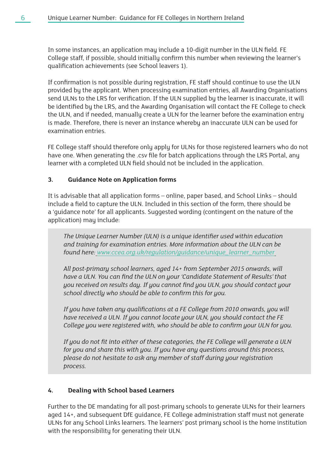In some instances, an application may include a 10-digit number in the ULN field. FE College staff, if possible, should initially confirm this number when reviewing the learner's qualification achievements (see School leavers 1).

If confirmation is not possible during registration, FE staff should continue to use the ULN provided by the applicant. When processing examination entries, all Awarding Organisations send ULNs to the LRS for verification. If the ULN supplied by the learner is inaccurate, it will be identified by the LRS, and the Awarding Organisation will contact the FE College to check the ULN, and if needed, manually create a ULN for the learner before the examination entry is made. Therefore, there is never an instance whereby an inaccurate ULN can be used for examination entries.

FE College staff should therefore only apply for ULNs for those registered learners who do not have one. When generating the .csv file for batch applications through the LRS Portal, any learner with a completed ULN field should not be included in the application.

#### **3. Guidance Note on Application forms**

It is advisable that all application forms – online, paper based, and School Links – should include a field to capture the ULN. Included in this section of the form, there should be a 'guidance note' for all applicants. Suggested wording (contingent on the nature of the application) may include:

*The Unique Learner Number (ULN) is a unique identifier used within education and training for examination entries. More information about the ULN can be found here: www.ccea.org.uk/regulation/guidance/unique\_learner\_number*

*All post-primary school learners, aged 14+ from September 2015 onwards, will have a ULN. You can find the ULN on your 'Candidate Statement of Results' that you received on results day. If you cannot find you ULN, you should contact your school directly who should be able to confirm this for you.* 

*If you have taken any qualifications at a FE College from 2010 onwards, you will have received a ULN. If you cannot locate your ULN, you should contact the FE College you were registered with, who should be able to confirm your ULN for you.*

*If you do not fit into either of these categories, the FE College will generate a ULN for you and share this with you. If you have any questions around this process, please do not hesitate to ask any member of staff during your registration process.*

#### **4. Dealing with School based Learners**

Further to the DE mandating for all post-primary schools to generate ULNs for their learners aged 14+, and subsequent DfE guidance, FE College administration staff must not generate ULNs for any School Links learners. The learners' post primary school is the home institution with the responsibility for generating their ULN.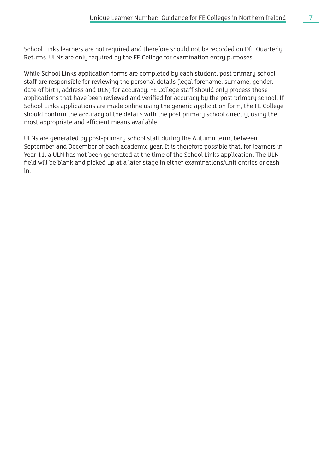School Links learners are not required and therefore should not be recorded on DfE Quarterly Returns. ULNs are only required by the FE College for examination entry purposes.

While School Links application forms are completed by each student, post primary school staff are responsible for reviewing the personal details (legal forename, surname, gender, date of birth, address and ULN) for accuracy. FE College staff should only process those applications that have been reviewed and verified for accuracy by the post primary school. If School Links applications are made online using the generic application form, the FE College should confirm the accuracy of the details with the post primary school directly, using the most appropriate and efficient means available.

ULNs are generated by post-primary school staff during the Autumn term, between September and December of each academic year. It is therefore possible that, for learners in Year 11, a ULN has not been generated at the time of the School Links application. The ULN field will be blank and picked up at a later stage in either examinations/unit entries or cash in.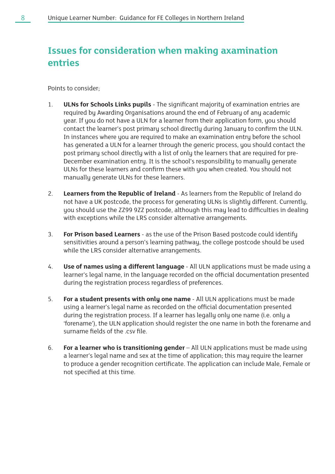## <span id="page-8-0"></span>**Issues for consideration when making axamination entries**

Points to consider;

- 1. **ULNs for Schools Links pupils** The significant majority of examination entries are required by Awarding Organisations around the end of February of any academic year. If you do not have a ULN for a learner from their application form, you should contact the learner's post primary school directly during January to confirm the ULN. In instances where you are required to make an examination entry before the school has generated a ULN for a learner through the generic process, you should contact the post primary school directly with a list of only the learners that are required for pre-December examination entry. It is the school's responsibility to manually generate ULNs for these learners and confirm these with you when created. You should not manually generate ULNs for these learners.
- 2. **Learners from the Republic of Ireland** As learners from the Republic of Ireland do not have a UK postcode, the process for generating ULNs is slightly different. Currently, you should use the ZZ99 9ZZ postcode, although this may lead to difficulties in dealing with exceptions while the LRS consider alternative arrangements.
- 3. **For Prison based Learners** as the use of the Prison Based postcode could identify sensitivities around a person's learning pathway, the college postcode should be used while the LRS consider alternative arrangements.
- 4. **Use of names using a different language** All ULN applications must be made using a learner's legal name, in the language recorded on the official documentation presented during the registration process regardless of preferences.
- 5. **For a student presents with only one name** All ULN applications must be made using a learner's legal name as recorded on the official documentation presented during the registration process. If a learner has legally only one name (i.e. only a 'forename'), the ULN application should register the one name in both the forename and surname fields of the .csv file.
- 6. **For a learner who is transitioning gender** All ULN applications must be made using a learner's legal name and sex at the time of application; this may require the learner to produce a gender recognition certificate. The application can include Male, Female or not specified at this time.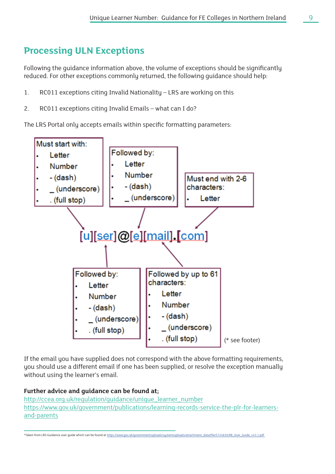## <span id="page-9-0"></span>**Processing ULN Exceptions**

Following the guidance information above, the volume of exceptions should be significantly reduced. For other exceptions commonly returned, the following guidance should help:

- 1. RC011 exceptions citing Invalid Nationality LRS are working on this
- 2. RC011 exceptions citing Invalid Emails what can I do?

The LRS Portal only accepts emails within specific formatting parameters:



If the email you have supplied does not correspond with the above formatting requirements, you should use a different email if one has been supplied, or resolve the exception manually without using the learner's email.

#### **Further advice and guidance can be found at;**

http://ccea.org.uk/regulation/guidance/unique\_learner\_number https://www.gov.uk/government/publications/learning-records-service-the-plr-for-learnersand-parents

\*Taken from LRS Guidance user guide which can be found at [https://www.gov.uk/government/uploads/system/uploads/attachment\\_data/file/572483/LRB\\_User\\_Guide\\_v43.1.pdf](https://www.gov.uk/government/uploads/system/uploads/attachment_data/file/572483/LRB_User_Guide_v43.)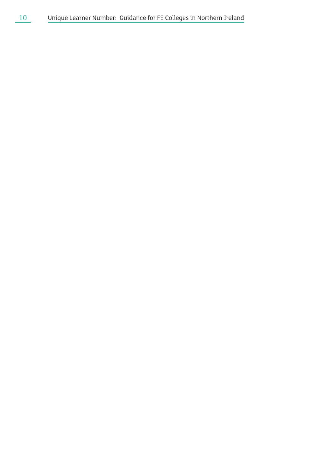## 10 Unique Learner Number: Guidance for FE Colleges in Northern Ireland